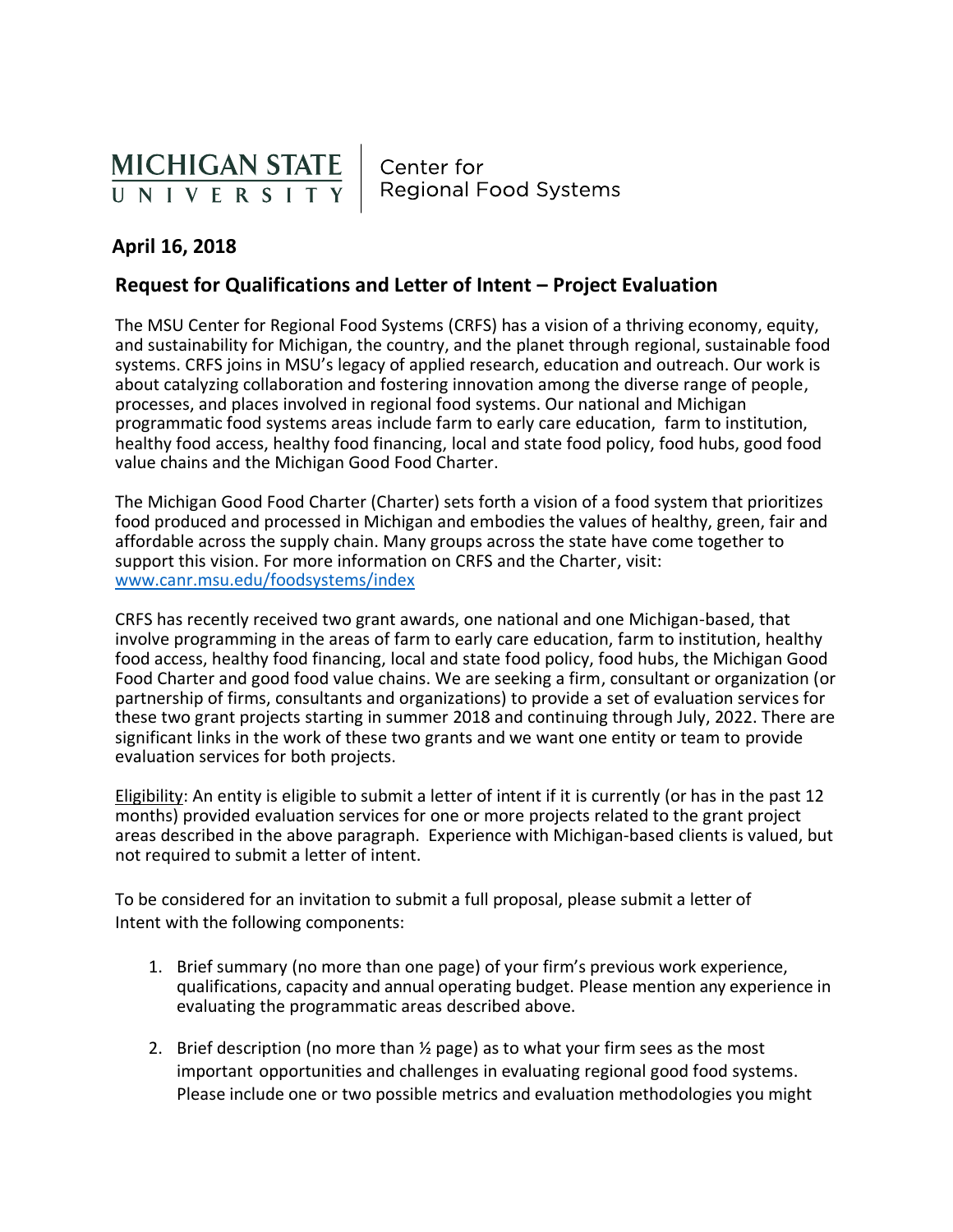

Center for **Regional Food Systems** 

## **April 16, 2018**

## **Request for Qualifications and Letter of Intent – Project Evaluation**

The MSU Center for Regional Food Systems (CRFS) has a vision of a thriving economy, equity, and sustainability for Michigan, the country, and the planet through regional, sustainable food systems. CRFS joins in MSU's legacy of applied research, education and outreach. Our work is about catalyzing collaboration and fostering innovation among the diverse range of people, processes, and places involved in regional food systems. Our national and Michigan programmatic food systems areas include farm to early care education, farm to institution, healthy food access, healthy food financing, local and state food policy, food hubs, good food value chains and the Michigan Good Food Charter.

The Michigan Good Food Charter (Charter) sets forth a vision of a food system that prioritizes food produced and processed in Michigan and embodies the values of healthy, green, fair and affordable across the supply chain. Many groups across the state have come together to support this vision. For more information on CRFS and the Charter, visit: [www.canr.msu.edu/foodsystems/index](http://www.canr.msu.edu/foodsystems/index)

CRFS has recently received two grant awards, one national and one Michigan-based, that involve programming in the areas of farm to early care education, farm to institution, healthy food access, healthy food financing, local and state food policy, food hubs, the Michigan Good Food Charter and good food value chains. We are seeking a firm, consultant or organization (or partnership of firms, consultants and organizations) to provide a set of evaluation services for these two grant projects starting in summer 2018 and continuing through July, 2022. There are significant links in the work of these two grants and we want one entity or team to provide evaluation services for both projects.

Eligibility: An entity is eligible to submit a letter of intent if it is currently (or has in the past 12 months) provided evaluation services for one or more projects related to the grant project areas described in the above paragraph. Experience with Michigan-based clients is valued, but not required to submit a letter of intent.

To be considered for an invitation to submit a full proposal, please submit a letter of Intent with the following components:

- 1. Brief summary (no more than one page) of your firm's previous work experience, qualifications, capacity and annual operating budget. Please mention any experience in evaluating the programmatic areas described above.
- 2. Brief description (no more than  $\frac{1}{2}$  page) as to what your firm sees as the most important opportunities and challenges in evaluating regional good food systems. Please include one or two possible metrics and evaluation methodologies you might